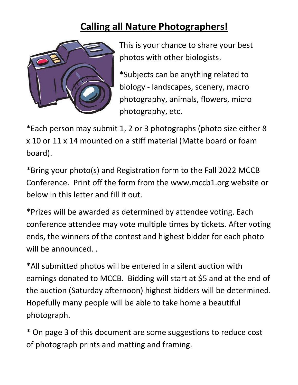## Calling all Nature Photographers!



This is your chance to share your best photos with other biologists.

\*Subjects can be anything related to biology - landscapes, scenery, macro photography, animals, flowers, micro photography, etc.

\*Each person may submit 1, 2 or 3 photographs (photo size either 8 x 10 or 11 x 14 mounted on a stiff material (Matte board or foam board).

\*Bring your photo(s) and Registration form to the Fall 2022 MCCB Conference. Print off the form from the www.mccb1.org website or below in this letter and fill it out.

\*Prizes will be awarded as determined by attendee voting. Each conference attendee may vote multiple times by tickets. After voting ends, the winners of the contest and highest bidder for each photo will be announced. .

\*All submitted photos will be entered in a silent auction with earnings donated to MCCB. Bidding will start at \$5 and at the end of the auction (Saturday afternoon) highest bidders will be determined. Hopefully many people will be able to take home a beautiful photograph.

\* On page 3 of this document are some suggestions to reduce cost of photograph prints and matting and framing.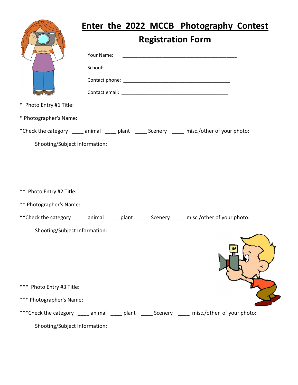|                                                                                                                                                     |                          |  |  | Enter the 2022 MCCB Photography Contest                                                                              |  |
|-----------------------------------------------------------------------------------------------------------------------------------------------------|--------------------------|--|--|----------------------------------------------------------------------------------------------------------------------|--|
|                                                                                                                                                     | <b>Registration Form</b> |  |  |                                                                                                                      |  |
|                                                                                                                                                     | Your Name:               |  |  | <u> 1980 - Jan Barnett, fransk politik (d. 1980)</u>                                                                 |  |
|                                                                                                                                                     | School:                  |  |  | <u> 2000 - Jan James James Jan James James James James James James James James James James James James James Jam</u> |  |
|                                                                                                                                                     |                          |  |  |                                                                                                                      |  |
|                                                                                                                                                     |                          |  |  |                                                                                                                      |  |
| * Photo Entry #1 Title:                                                                                                                             |                          |  |  |                                                                                                                      |  |
| * Photographer's Name:                                                                                                                              |                          |  |  |                                                                                                                      |  |
| *Check the category _____ animal _____ plant _____ Scenery _____ misc./other of your photo:                                                         |                          |  |  |                                                                                                                      |  |
| Shooting/Subject Information:                                                                                                                       |                          |  |  |                                                                                                                      |  |
| ** Photo Entry #2 Title:<br>** Photographer's Name:<br>**Check the category _____ animal _____ plant _____ Scenery _____ misc./other of your photo: |                          |  |  |                                                                                                                      |  |
| Shooting/Subject Information:                                                                                                                       |                          |  |  |                                                                                                                      |  |
|                                                                                                                                                     |                          |  |  |                                                                                                                      |  |
| *** Photo Entry #3 Title:                                                                                                                           |                          |  |  |                                                                                                                      |  |
| *** Photographer's Name:                                                                                                                            |                          |  |  |                                                                                                                      |  |
| ***Check the category _____ animal _____ plant _____ Scenery _____ misc./other of your photo:                                                       |                          |  |  |                                                                                                                      |  |
| Shooting/Subject Information:                                                                                                                       |                          |  |  |                                                                                                                      |  |